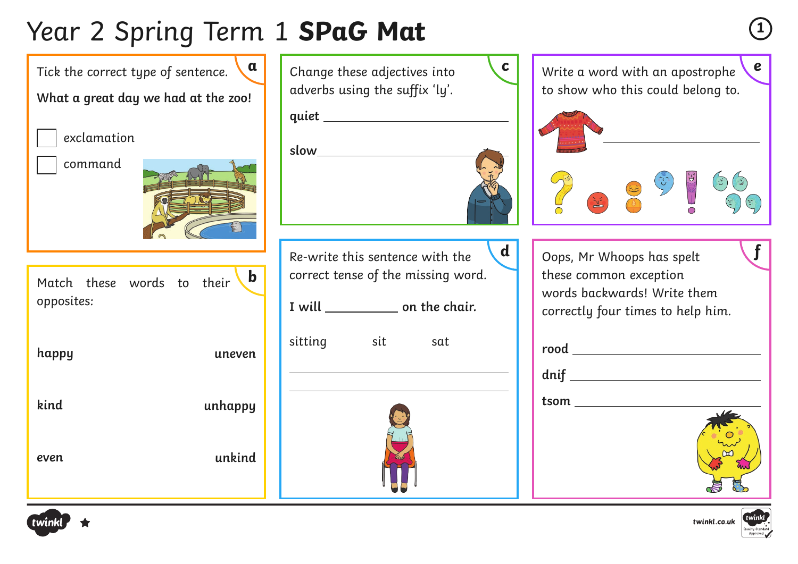# Year 2 Spring Term 1 **SPaG Mat <sup>1</sup>**





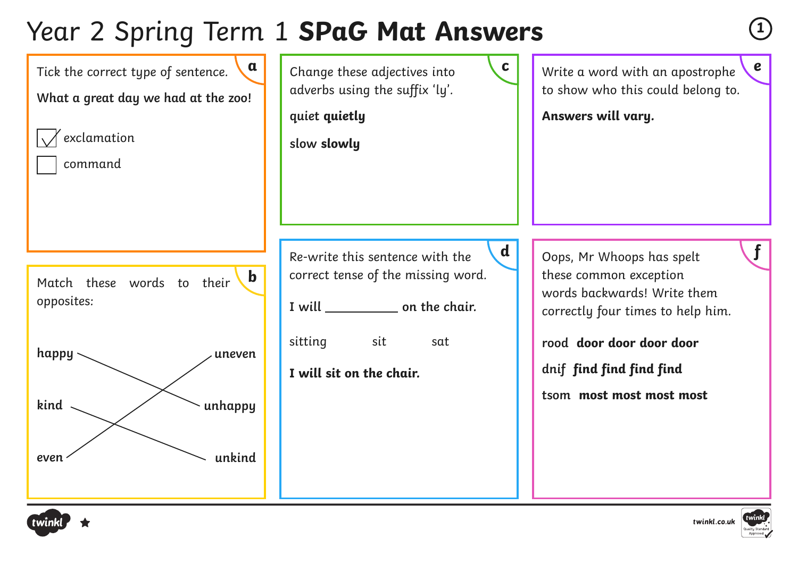### Year 2 Spring Term 1 **SPaG Mat Answers**





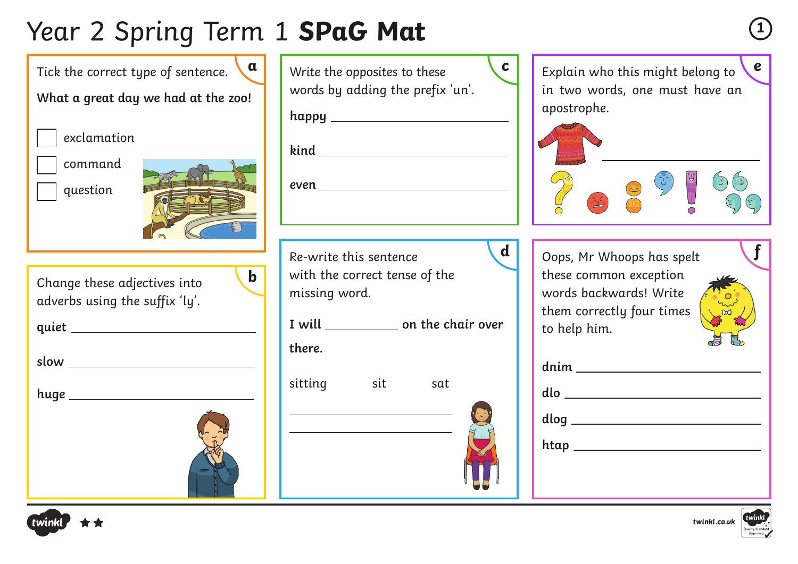# Year 2 Spring Term 1 **SPaG Mat <sup>1</sup>**

Change these adjectives into adverbs using the suffix 'ly'. **quiet slow huge**  Tick the correct type of sentence. **What a great day we had at the zoo!** exclamation command question **b**

| $\mathbf{a}$ | $\mathbf c$<br>Write the opposites to these<br>words by adding the prefix 'un'. | $\boldsymbol{e}$<br>Explain who this might belong to<br>in two words, one must have an |
|--------------|---------------------------------------------------------------------------------|----------------------------------------------------------------------------------------|
| Î            |                                                                                 | apostrophe.                                                                            |
|              |                                                                                 |                                                                                        |
|              |                                                                                 |                                                                                        |
|              | $\mathbf d$<br>Re-write this sentence                                           | Oops, Mr Whoops has spelt                                                              |
| $\mathbf b$  | with the correct tense of the<br>missing word.                                  | these common exception<br>words backwards! Write<br>them correctly four times          |
|              | I will ______________ on the chair over<br>there.                               | to help him.                                                                           |
|              | sitting<br><u>sit sit surfa</u><br>sat                                          |                                                                                        |
|              | <u> 1989 - Johann Barn, amerikansk politiker (</u>                              |                                                                                        |
|              |                                                                                 |                                                                                        |
|              |                                                                                 |                                                                                        |





| d | Oops, Mr Whoops has spelt |  |
|---|---------------------------|--|
|   | these common exception    |  |
|   | words backwards! Write    |  |
|   | them correctly four times |  |
|   | to help him.              |  |
|   |                           |  |



| $\begin{picture}(150,10) \put(0,0){\dashbox{0.5}(10,0){ }} \thicklines \put(0,0){\dashbox{0.5}(10,0){ }} \thicklines \put(0,0){\dashbox{0.5}(10,0){ }} \thicklines \put(0,0){\dashbox{0.5}(10,0){ }} \thicklines \put(0,0){\dashbox{0.5}(10,0){ }} \thicklines \put(0,0){\dashbox{0.5}(10,0){ }} \thicklines \put(0,0){\dashbox{0.5}(10,0){ }} \thicklines \put(0,0){\dashbox{0.5}(10,0){ }} \thicklines \put(0,0){\$ |
|-----------------------------------------------------------------------------------------------------------------------------------------------------------------------------------------------------------------------------------------------------------------------------------------------------------------------------------------------------------------------------------------------------------------------|
| dlog                                                                                                                                                                                                                                                                                                                                                                                                                  |
| htap                                                                                                                                                                                                                                                                                                                                                                                                                  |
|                                                                                                                                                                                                                                                                                                                                                                                                                       |



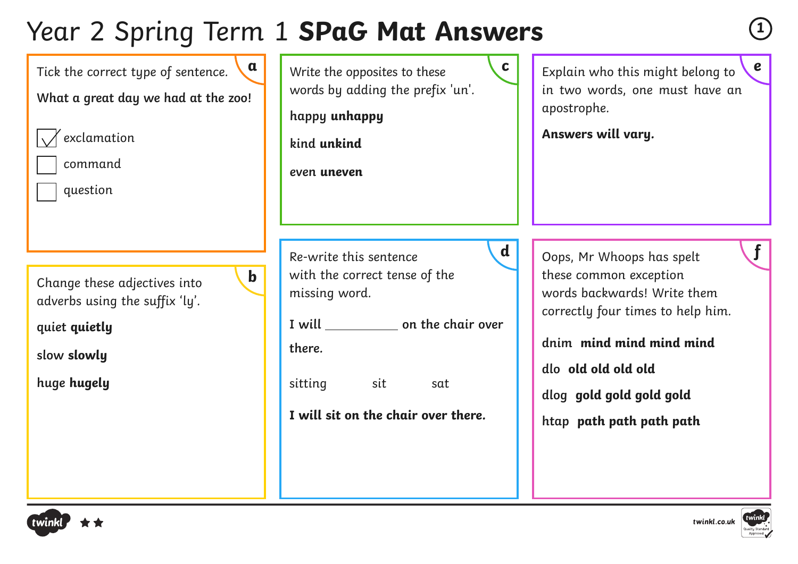### Year 2 Spring Term 1 **SPaG Mat Answers**





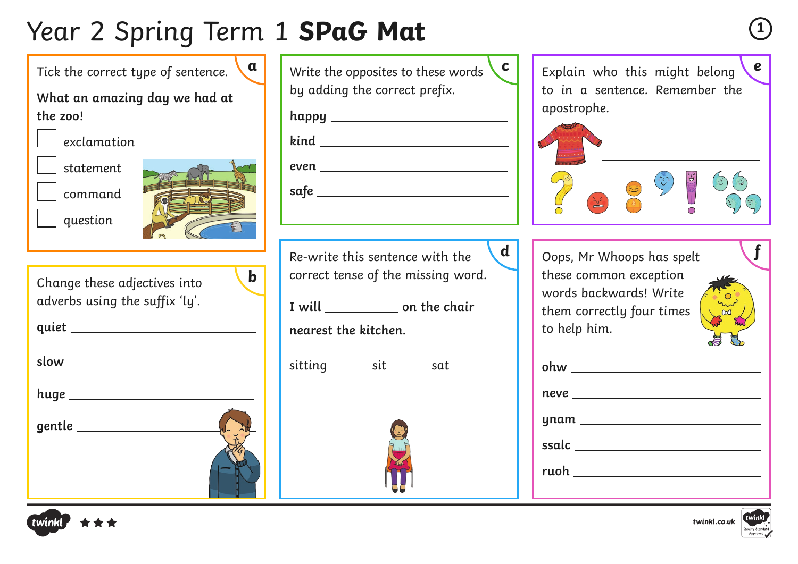# Year 2 Spring Term 1 **SPaG Mat <sup>1</sup>**

**a** Write the opposites to these words **c e** Explain who this might belong **e** by adding the correct prefix. **happy kind even safe**  Change these adjectives into adverbs using the suffix 'ly'. **quiet slow huge gentle**  Tick the correct type of sentence. **What an amazing day we had at the zoo!** exclamation statement command question Re-write this sentence with the correct tense of the missing word. **I will on the chair nearest the kitchen.** sitting sit sat  apostrophe.  to help him. **ohw neve ynam ssalc ruoh b**





Explain who this might belong to in a sentence. Remember the



**d** | Oops, Mr Whoops has spelt **f** these common exception words backwards! Write them correctly four times



| ohw $\rule{1em}{0.15mm}$ |
|--------------------------|
| neve _________           |
|                          |
| ynam _______             |
|                          |
| ruoh <b>waxaa</b>        |
|                          |